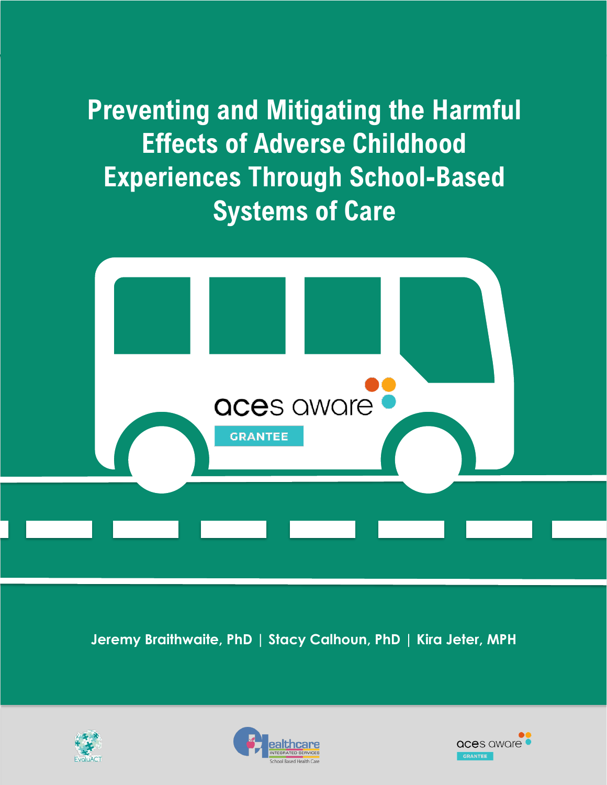**Preventing and Mitigating the Harmful Effects of Adverse Childhood Experiences Through School-Based Systems of Care**



**Jeremy Braithwaite, PhD | Stacy Calhoun, PhD | Kira Jeter, MPH**





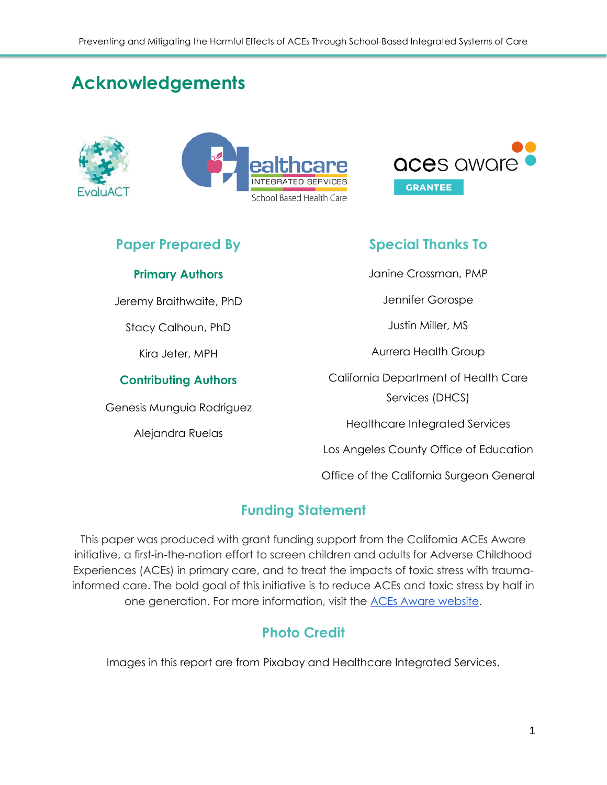## **Acknowledgements**







## **Paper Prepared By**

#### **Primary Authors**

Jeremy Braithwaite, PhD

Stacy Calhoun, PhD

Kira Jeter, MPH

#### **Contributing Authors**

Genesis Munguia Rodriguez

Alejandra Ruelas

## **Special Thanks To**

Janine Crossman, PMP

Jennifer Gorospe

Justin Miller, MS

Aurrera Health Group

California Department of Health Care Services (DHCS)

Healthcare Integrated Services

Los Angeles County Office of Education

Office of the California Surgeon General

## **Funding Statement**

This paper was produced with grant funding support from the California ACEs Aware initiative, a first-in-the-nation effort to screen children and adults for Adverse Childhood Experiences (ACEs) in primary care, and to treat the impacts of toxic stress with traumainformed care. The bold goal of this initiative is to reduce ACEs and toxic stress by half in one generation. For more information, visit the [ACEs Aware website.](https://www.acesaware.org/)

## **Photo Credit**

Images in this report are from Pixabay and Healthcare Integrated Services.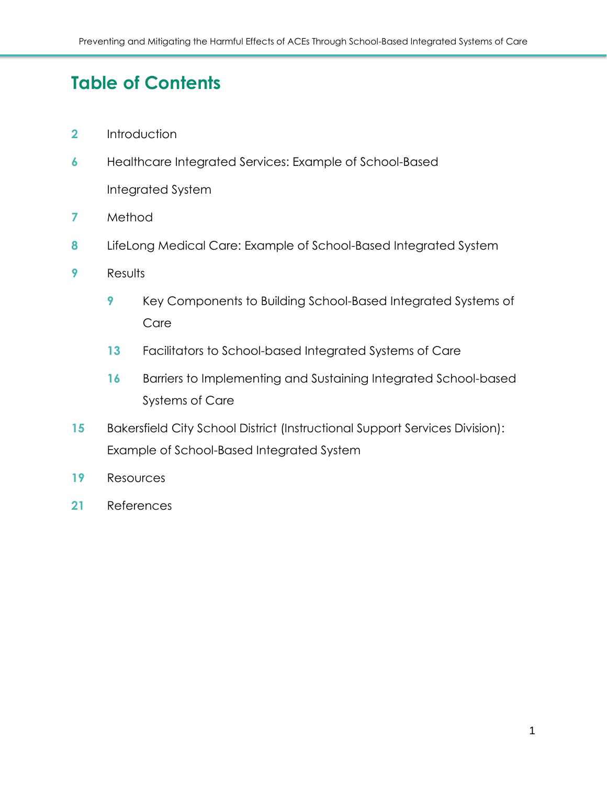## **Table of Contents**

- [Introduction](#page-3-0)
- [Healthcare Integrated Services: Example of School-Based](#page-7-0)  [Integrated System](#page-7-0)
- [Method](#page-7-1)
- [LifeLong Medical Care: Example of School-Based Integrated System](#page-9-0)
- [Results](#page-10-0)
	- [Key Components to Building School-Based Integrated Systems of](#page-10-1)  [Care](#page-10-1)
	- [Facilitators to School-based Integrated Systems of Care](#page-14-0)
	- 16 Barriers to Implementing and Sustaining Integrated School-based [Systems of Care](#page-17-0)
- Bakersfield City School District (Instructional Support Services Division): [Example of School-Based Integrated System](#page-16-0)
- [Resources](#page-20-0)
- [References](#page-22-0)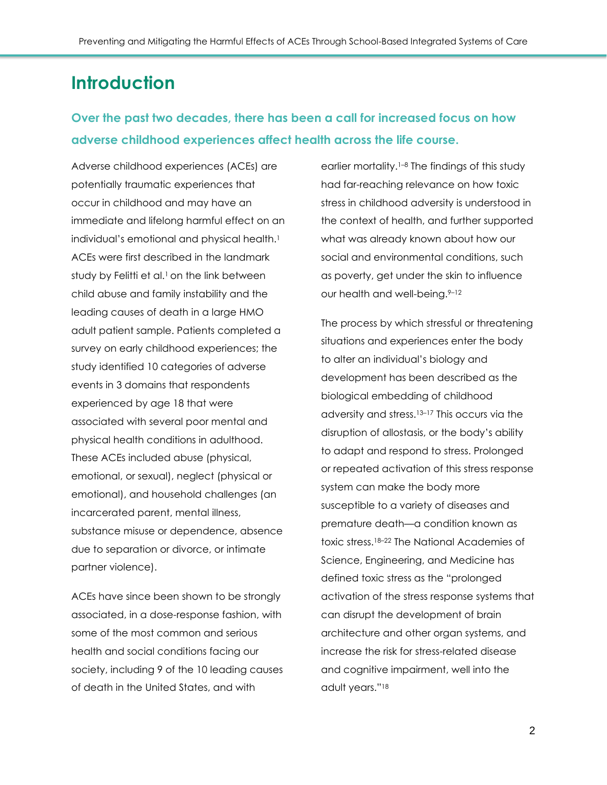## <span id="page-3-0"></span>**Introduction**

## **Over the past two decades, there has been a call for increased focus on how adverse childhood experiences affect health across the life course.**

Adverse childhood experiences (ACEs) are potentially traumatic experiences that occur in childhood and may have an immediate and lifelong harmful effect on an individual's emotional and physical health.<sup>[1](https://www.zotero.org/google-docs/?22MZyY)</sup> ACEs were first described in the landmark study by Felitti et al.<sup>[1](https://www.zotero.org/google-docs/?er10SJ)</sup> on the link between child abuse and family instability and the leading causes of death in a large HMO adult patient sample. Patients completed a survey on early childhood experiences; the study identified 10 categories of adverse events in 3 domains that respondents experienced by age 18 that were associated with several poor mental and physical health conditions in adulthood. These ACEs included abuse (physical, emotional, or sexual), neglect (physical or emotional), and household challenges (an incarcerated parent, mental illness, substance misuse or dependence, absence due to separation or divorce, or intimate partner violence).

ACEs have since been shown to be strongly associated, in a dose-response fashion, with some of the most common and serious health and social conditions facing our society, including 9 of the 10 leading causes of death in the United States, and with

earlier mortality.<sup>[1](https://www.zotero.org/google-docs/?S85huK)-8</sup> The findings of this study had far-reaching relevance on how toxic stress in childhood adversity is understood in the context of health, and further supported what was already known about how our social and environmental conditions, such as poverty, get under the skin to influence our health and well-being.<sup>9-[12](https://www.zotero.org/google-docs/?z2LEXR)</sup>

The process by which stressful or threatening situations and experiences enter the body to alter an individual's biology and development has been described as the biological embedding of childhood adversity and stress.[13](https://www.zotero.org/google-docs/?4PSgTZ)–<sup>17</sup> This occurs via the disruption of allostasis, or the body's ability to adapt and respond to stress. Prolonged or repeated activation of this stress response system can make the body more susceptible to a variety of diseases and premature death—a condition known as toxic stress.[18](https://www.zotero.org/google-docs/?3AAHsk)–<sup>22</sup> The National Academies of Science, Engineering, and Medicine has defined toxic stress as the "prolonged activation of the stress response systems that can disrupt the development of brain architecture and other organ systems, and increase the risk for stress-related disease and cognitive impairment, well into the adult years." [18](https://www.zotero.org/google-docs/?xdXL7b)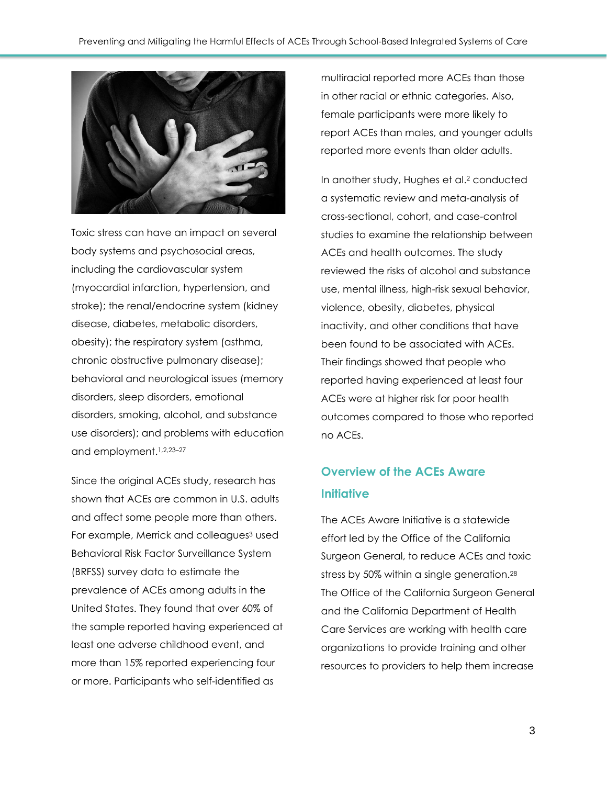

Toxic stress can have an impact on several body systems and psychosocial areas, including the cardiovascular system (myocardial infarction, hypertension, and stroke); the renal/endocrine system (kidney disease, diabetes, metabolic disorders, obesity); the respiratory system (asthma, chronic obstructive pulmonary disease); behavioral and neurological issues (memory disorders, sleep disorders, emotional disorders, smoking, alcohol, and substance use disorders); and problems with education and employment.[1,2,23](https://www.zotero.org/google-docs/?M62ZCL)–<sup>27</sup>

Since the original ACEs study, research has shown that ACEs are common in U.S. adults and affect some people more than others. For example, Merrick and colleague[s](https://www.zotero.org/google-docs/?WzCLJi)<sup>3</sup> used Behavioral Risk Factor Surveillance System (BRFSS) survey data to estimate the prevalence of ACEs among adults in the United States. They found that over 60% of the sample reported having experienced at least one adverse childhood event, and more than 15% reported experiencing four or more. Participants who self-identified as

multiracial reported more ACEs than those in other racial or ethnic categories. Also, female participants were more likely to report ACEs than males, and younger adults reported more events than older adults.

In another study, Hughes et al[.](https://www.zotero.org/google-docs/?UmHZGX) <sup>2</sup> conducted a systematic review and meta-analysis of cross-sectional, cohort, and case-control studies to examine the relationship between ACEs and health outcomes. The study reviewed the risks of alcohol and substance use, mental illness, high-risk sexual behavior, violence, obesity, diabetes, physical inactivity, and other conditions that have been found to be associated with ACEs. Their findings showed that people who reported having experienced at least four ACEs were at higher risk for poor health outcomes compared to those who reported no ACEs.

## **Overview of the ACEs Aware Initiative**

The ACEs Aware Initiative is a statewide effort led by the Office of the California Surgeon General, to reduce ACEs and toxic stress by 50% within a single generation.<sup>[28](https://www.zotero.org/google-docs/?Qunjyf)</sup> The Office of the California Surgeon General and the California Department of Health Care Services are working with health care organizations to provide training and other resources to providers to help them increase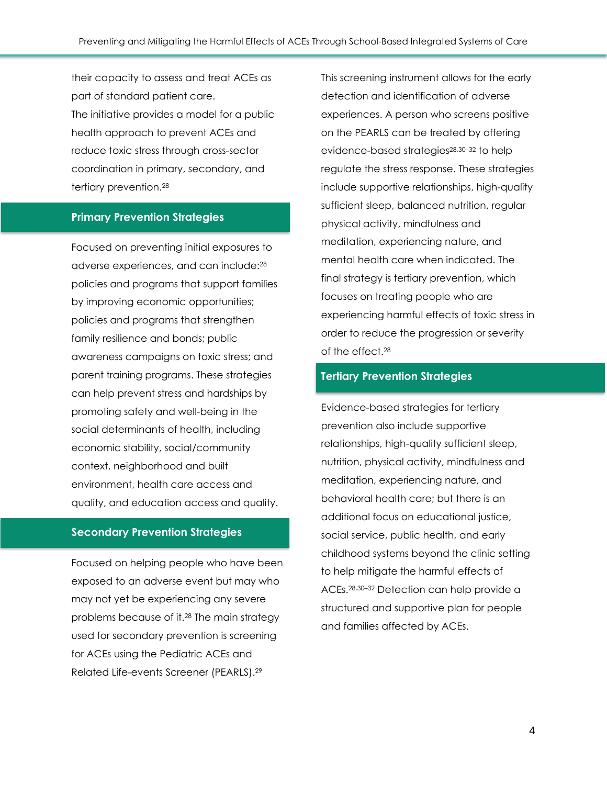their capacity to assess and treat ACEs as part of standard patient care. The initiative provides a model for a public health approach to prevent ACEs and reduce toxic stress through cross-sector coordination in primary, secondary, and tertiary prevention.[28](https://www.zotero.org/google-docs/?VlvCiZ)

#### **Primary Prevention Strategies**

Focused on preventing initial exposures to adverse experiences, and can include:[28](https://www.zotero.org/google-docs/?iQNWmM) policies and programs that support families by improving economic opportunities; policies and programs that strengthen family resilience and bonds; public awareness campaigns on toxic stress; and parent training programs. These strategies can help prevent stress and hardships by promoting safety and well-being in the social determinants of health, including economic stability, social/community context, neighborhood and built environment, health care access and quality, and education access and quality.

#### **Secondary Prevention Strategies**

Focused on helping people who have been exposed to an adverse event but may who may not yet be experiencing any severe problems because of it. [28](https://www.zotero.org/google-docs/?sfqrAW) The main strategy used for secondary prevention is screening for ACEs using the Pediatric ACEs and Related Life-events Screener (PEARLS).[29](https://www.zotero.org/google-docs/?mkpP97)

This screening instrument allows for the early detection and identification of adverse experiences. A person who screens positive on the PEARLS can be treated by offering evidence-based strategies<sup>[28,30](https://www.zotero.org/google-docs/?7YqK2i)-32</sup> to help regulate the stress response. These strategies include supportive relationships, high-quality sufficient sleep, balanced nutrition, regular physical activity, mindfulness and meditation, experiencing nature, and mental health care when indicated. The final strategy is tertiary prevention, which focuses on treating people who are experiencing harmful effects of toxic stress in order to reduce the progression or severity of the effect  $28$ 

#### **Tertiary Prevention Strategies**

Evidence-based strategies for tertiary prevention also include supportive relationships, high-quality sufficient sleep, nutrition, physical activity, mindfulness and meditation, experiencing nature, and behavioral health care; but there is an additional focus on educational justice, social service, public health, and early childhood systems beyond the clinic setting to help mitigate the harmful effects of ACEs.[28,30](https://www.zotero.org/google-docs/?zxtZTC)–<sup>32</sup> Detection can help provide a structured and supportive plan for people and families affected by ACEs.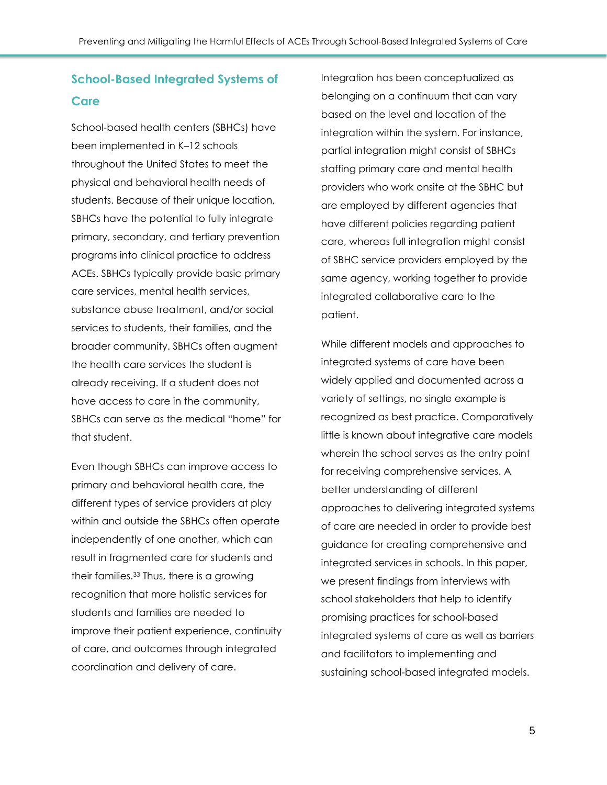## **School-Based Integrated Systems of Care**

School-based health centers (SBHCs) have been implemented in K–12 schools throughout the United States to meet the physical and behavioral health needs of students. Because of their unique location, SBHCs have the potential to fully integrate primary, secondary, and tertiary prevention programs into clinical practice to address ACEs. SBHCs typically provide basic primary care services, mental health services, substance abuse treatment, and/or social services to students, their families, and the broader community. SBHCs often augment the health care services the student is already receiving. If a student does not have access to care in the community, SBHCs can serve as the medical "home" for that student.

Even though SBHCs can improve access to primary and behavioral health care, the different types of service providers at play within and outside the SBHCs often operate independently of one another, which can result in fragmented care for students and their families.[33](https://www.zotero.org/google-docs/?CDZHKF) Thus, there is a growing recognition that more holistic services for students and families are needed to improve their patient experience, continuity of care, and outcomes through integrated coordination and delivery of care.

Integration has been conceptualized as belonging on a continuum that can vary based on the level and location of the integration within the system. For instance, partial integration might consist of SBHCs staffing primary care and mental health providers who work onsite at the SBHC but are employed by different agencies that have different policies regarding patient care, whereas full integration might consist of SBHC service providers employed by the same agency, working together to provide integrated collaborative care to the patient.

While different models and approaches to integrated systems of care have been widely applied and documented across a variety of settings, no single example is recognized as best practice. Comparatively little is known about integrative care models wherein the school serves as the entry point for receiving comprehensive services. A better understanding of different approaches to delivering integrated systems of care are needed in order to provide best guidance for creating comprehensive and integrated services in schools. In this paper, we present findings from interviews with school stakeholders that help to identify promising practices for school-based integrated systems of care as well as barriers and facilitators to implementing and sustaining school-based integrated models.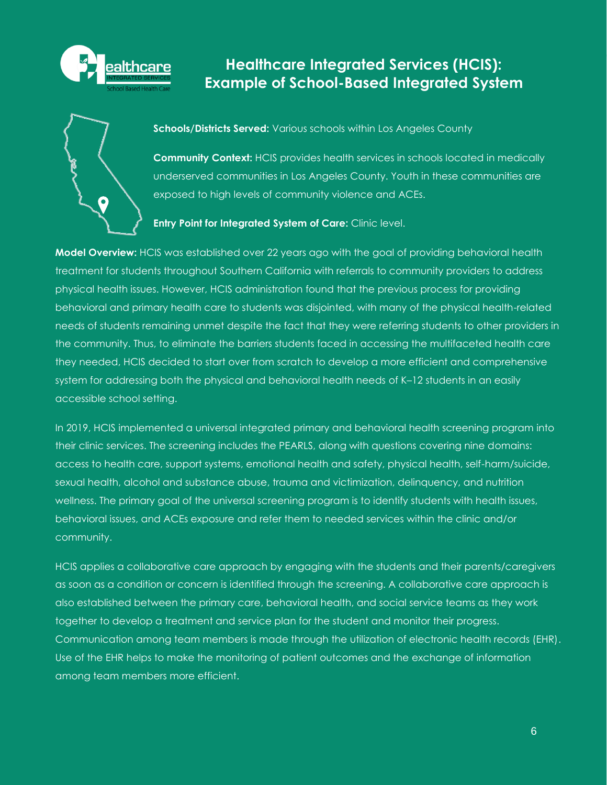

## <span id="page-7-0"></span>**Healthcare Integrated Services (HCIS): Example of School-Based Integrated System**



**Schools/Districts Served:** Various schools within Los Angeles County

**Community Context:** HCIS provides health services in schools located in medically underserved communities in Los Angeles County. Youth in these communities are exposed to high levels of community violence and ACEs.

#### **Entry Point for Integrated System of Care:** Clinic level.

**Model Overview:** HCIS was established over 22 years ago with the goal of providing behavioral health treatment for students throughout Southern California with referrals to community providers to address physical health issues. However, HCIS administration found that the previous process for providing behavioral and primary health care to students was disjointed, with many of the physical health-related needs of students remaining unmet despite the fact that they were referring students to other providers in the community. Thus, to eliminate the barriers students faced in accessing the multifaceted health care they needed, HCIS decided to start over from scratch to develop a more efficient and comprehensive system for addressing both the physical and behavioral health needs of K–12 students in an easily accessible school setting.

In 2019, HCIS implemented a universal integrated primary and behavioral health screening program into their clinic services. The screening includes the PEARLS, along with questions covering nine domains: access to health care, support systems, emotional health and safety, physical health, self-harm/suicide, sexual health, alcohol and substance abuse, trauma and victimization, delinquency, and nutrition wellness. The primary goal of the universal screening program is to identify students with health issues, behavioral issues, and ACEs exposure and refer them to needed services within the clinic and/or community.

<span id="page-7-1"></span>HCIS applies a collaborative care approach by engaging with the students and their parents/caregivers as soon as a condition or concern is identified through the screening. A collaborative care approach is also established between the primary care, behavioral health, and social service teams as they work together to develop a treatment and service plan for the student and monitor their progress. Communication among team members is made through the utilization of electronic health records (EHR). Use of the EHR helps to make the monitoring of patient outcomes and the exchange of information among team members more efficient.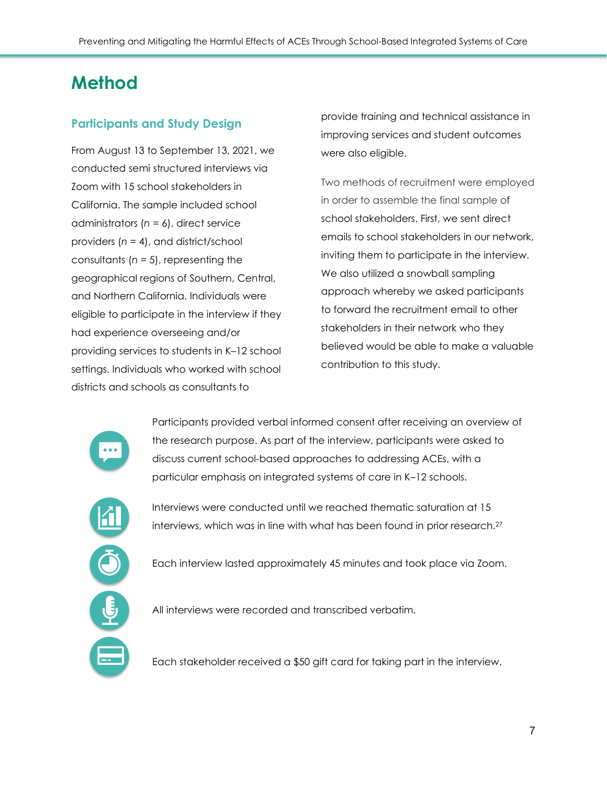# **Method**

#### **Participants and Study Design**

From August 13 to September 13, 2021, we conducted semi structured interviews via Zoom with 15 school stakeholders in California. The sample included school administrators (*n* = 6), direct service providers (*n* = 4), and district/school consultants (*n* = 5), representing the geographical regions of Southern, Central, and Northern California. Individuals were eligible to participate in the interview if they had experience overseeing and/or providing services to students in K–12 school settings. Individuals who worked with school districts and schools as consultants to

provide training and technical assistance in improving services and student outcomes were also eligible.

Two methods of recruitment were employed in order to assemble the final sample of school stakeholders. First, we sent direct emails to school stakeholders in our network, inviting them to participate in the interview. We also utilized a snowball sampling approach whereby we asked participants to forward the recruitment email to other stakeholders in their network who they believed would be able to make a valuable contribution to this study.



Participants provided verbal informed consent after receiving an overview of the research purpose. As part of the interview, participants were asked to discuss current school-based approaches to addressing ACEs, with a particular emphasis on integrated systems of care in K–12 schools.



Interviews were conducted until we reached thematic saturation at 15 interviews, which was in line with what has been found in prior research.[27](https://www.zotero.org/google-docs/?NYY9Hm)

Each interview lasted approximately 45 minutes and took place via Zoom.

All interviews were recorded and transcribed verbatim.

Each stakeholder received a \$50 gift card for taking part in the interview.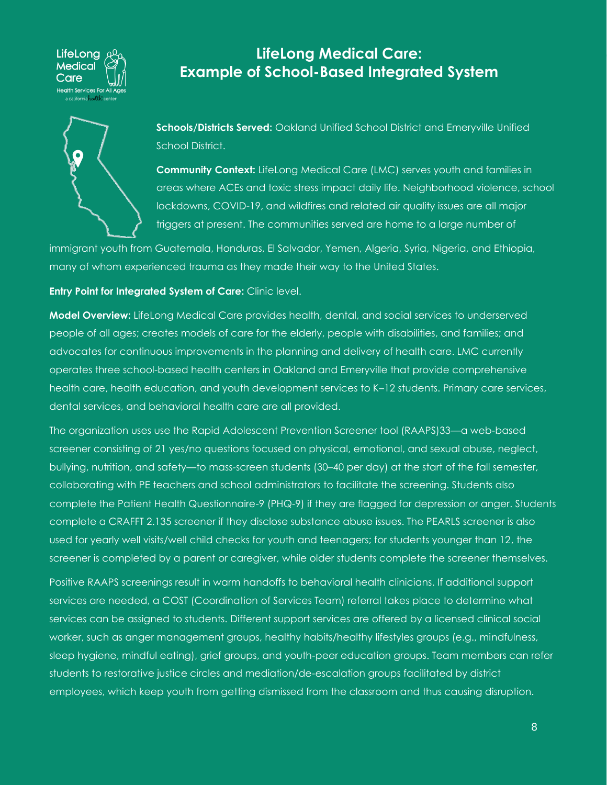

#### <span id="page-9-0"></span>All study procedures were reviewed and approved by a private institutional **LifeLong Medical Care: Example of School-Based Integrated System**

**Schools/Districts Served:** Oakland Unified School District and Emeryville Unified School District.

**Community Context:** LifeLong Medical Care (LMC) serves youth and families in areas where ACEs and toxic stress impact daily life. Neighborhood violence, school lockdowns, COVID-19, and wildfires and related air quality issues are all major triggers at present. The communities served are home to a large number of

immigrant youth from Guatemala, Honduras, El Salvador, Yemen, Algeria, Syria, Nigeria, and Ethiopia, many of whom experienced trauma as they made their way to the United States.

**Entry Point for Integrated System of Care:** Clinic level.

**Model Overview:** LifeLong Medical Care provides health, dental, and social services to underserved people of all ages; creates models of care for the elderly, people with disabilities, and families; and advocates for continuous improvements in the planning and delivery of health care. LMC currently operates three school-based health centers in Oakland and Emeryville that provide comprehensive health care, health education, and youth development services to K–12 students. Primary care services, dental services, and behavioral health care are all provided.

The organization uses use the Rapid Adolescent Prevention Screener tool (RAAPS)33—a web-based screener consisting of 21 yes/no questions focused on physical, emotional, and sexual abuse, neglect, bullying, nutrition, and safety—to mass-screen students (30–40 per day) at the start of the fall semester, collaborating with PE teachers and school administrators to facilitate the screening. Students also complete the Patient Health Questionnaire-9 (PHQ-9) if they are flagged for depression or anger. Students complete a CRAFFT 2.135 screener if they disclose substance abuse issues. The PEARLS screener is also used for yearly well visits/well child checks for youth and teenagers; for students younger than 12, the screener is completed by a parent or caregiver, while older students complete the screener themselves.

Positive RAAPS screenings result in warm handoffs to behavioral health clinicians. If additional support services are needed, a COST (Coordination of Services Team) referral takes place to determine what services can be assigned to students. Different support services are offered by a licensed clinical social worker, such as anger management groups, healthy habits/healthy lifestyles groups (e.g., mindfulness, sleep hygiene, mindful eating), grief groups, and youth-peer education groups. Team members can refer students to restorative justice circles and mediation/de-escalation groups facilitated by district employees, which keep youth from getting dismissed from the classroom and thus causing disruption.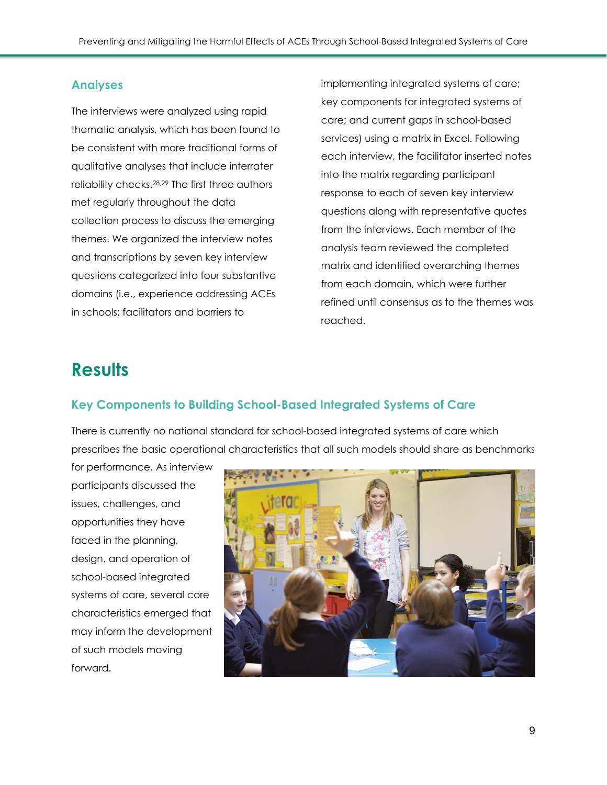#### **Analyses**

The interviews were analyzed using rapid thematic analysis, which has been found to be consistent with more traditional forms of qualitative analyses that include interrater reliability checks.[28,29](https://www.zotero.org/google-docs/?8KBr8W) The first three authors met regularly throughout the data collection process to discuss the emerging themes. We organized the interview notes and transcriptions by seven key interview questions categorized into four substantive domains (i.e., experience addressing ACEs in schools; facilitators and barriers to

implementing integrated systems of care; key components for integrated systems of care; and current gaps in school-based services) using a matrix in Excel. Following each interview, the facilitator inserted notes into the matrix regarding participant response to each of seven key interview questions along with representative quotes from the interviews. Each member of the analysis team reviewed the completed matrix and identified overarching themes from each domain, which were further refined until consensus as to the themes was reached.

## <span id="page-10-0"></span>**Results**

#### <span id="page-10-1"></span>**Key Components to Building School-Based Integrated Systems of Care**

There is currently no national standard for school-based integrated systems of care which prescribes the basic operational characteristics that all such models should share as benchmarks

for performance. As interview participants discussed the issues, challenges, and opportunities they have faced in the planning, design, and operation of school-based integrated systems of care, several core characteristics emerged that may inform the development of such models moving forward.

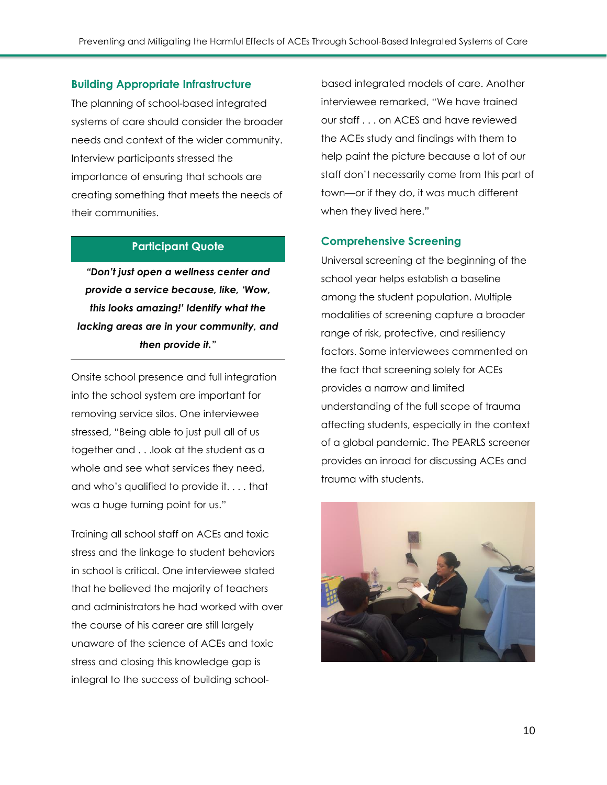#### **Building Appropriate Infrastructure**

The planning of school-based integrated systems of care should consider the broader needs and context of the wider community. Interview participants stressed the importance of ensuring that schools are creating something that meets the needs of their communities.

#### **Participant Quote**

*"Don't just open a wellness center and provide a service because, like, 'Wow, this looks amazing!' Identify what the lacking areas are in your community, and then provide it."*

Onsite school presence and full integration into the school system are important for removing service silos. One interviewee stressed, "Being able to just pull all of us together and . . .look at the student as a whole and see what services they need, and who's qualified to provide it. . . . that was a huge turning point for us."

Training all school staff on ACEs and toxic stress and the linkage to student behaviors in school is critical. One interviewee stated that he believed the majority of teachers and administrators he had worked with over the course of his career are still largely unaware of the science of ACEs and toxic stress and closing this knowledge gap is integral to the success of building schoolbased integrated models of care. Another interviewee remarked, "We have trained our staff . . . on ACES and have reviewed the ACEs study and findings with them to help paint the picture because a lot of our staff don't necessarily come from this part of town—or if they do, it was much different when they lived here."

#### **Comprehensive Screening**

Universal screening at the beginning of the school year helps establish a baseline among the student population. Multiple modalities of screening capture a broader range of risk, protective, and resiliency factors. Some interviewees commented on the fact that screening solely for ACEs provides a narrow and limited understanding of the full scope of trauma affecting students, especially in the context of a global pandemic. The PEARLS screener provides an inroad for discussing ACEs and trauma with students.

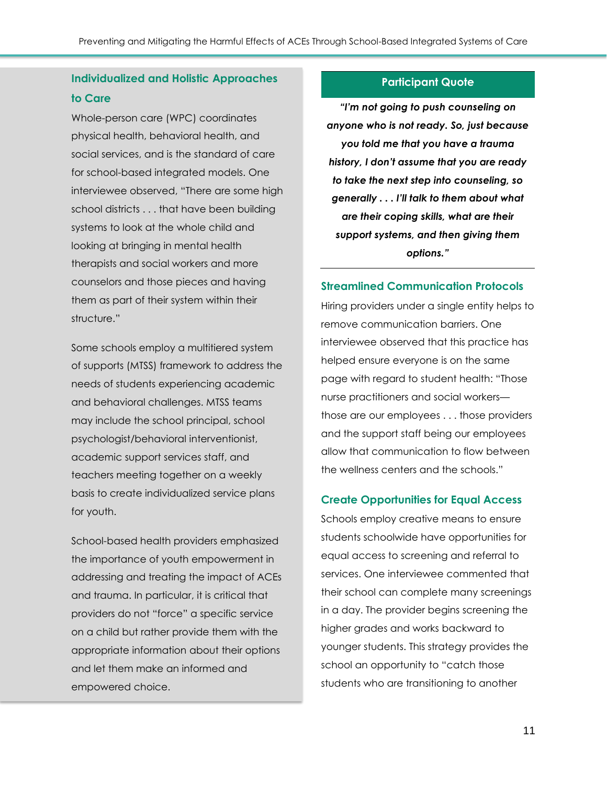#### **Individualized and Holistic Approaches to Care**

Whole-person care (WPC) coordinates physical health, behavioral health, and social services, and is the standard of care for school-based integrated models. One interviewee observed, "There are some high school districts . . . that have been building systems to look at the whole child and looking at bringing in mental health therapists and social workers and more counselors and those pieces and having them as part of their system within their structure."

Some schools employ a multitiered system of supports (MTSS) framework to address the needs of students experiencing academic and behavioral challenges. MTSS teams may include the school principal, school psychologist/behavioral interventionist, academic support services staff, and teachers meeting together on a weekly basis to create individualized service plans for youth.

School-based health providers emphasized the importance of youth empowerment in addressing and treating the impact of ACEs and trauma. In particular, it is critical that providers do not "force" a specific service on a child but rather provide them with the appropriate information about their options and let them make an informed and empowered choice.

#### **Participant Quote**

*"I'm not going to push counseling on anyone who is not ready. So, just because you told me that you have a trauma history, I don't assume that you are ready to take the next step into counseling, so generally . . . I'll talk to them about what are their coping skills, what are their support systems, and then giving them options."*

#### **Streamlined Communication Protocols**

Hiring providers under a single entity helps to remove communication barriers. One interviewee observed that this practice has helped ensure everyone is on the same page with regard to student health: "Those nurse practitioners and social workers those are our employees . . . those providers and the support staff being our employees allow that communication to flow between the wellness centers and the schools."

#### **Create Opportunities for Equal Access**

Schools employ creative means to ensure students schoolwide have opportunities for equal access to screening and referral to services. One interviewee commented that their school can complete many screenings in a day. The provider begins screening the higher grades and works backward to younger students. This strategy provides the school an opportunity to "catch those students who are transitioning to another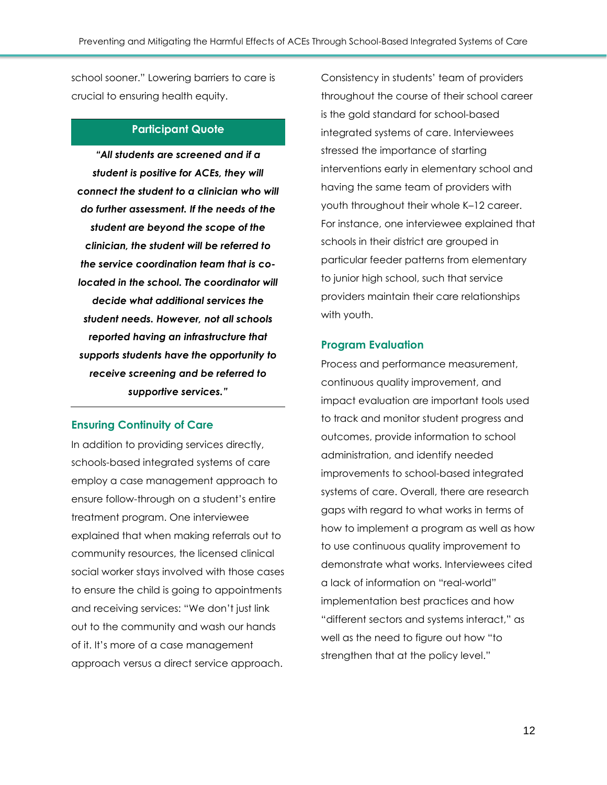school sooner." Lowering barriers to care is crucial to ensuring health equity.

#### **Participant Quote**

*"All students are screened and if a student is positive for ACEs, they will connect the student to a clinician who will do further assessment. If the needs of the student are beyond the scope of the clinician, the student will be referred to the service coordination team that is colocated in the school. The coordinator will decide what additional services the student needs. However, not all schools reported having an infrastructure that supports students have the opportunity to receive screening and be referred to supportive services."*

#### **Ensuring Continuity of Care**

In addition to providing services directly, schools-based integrated systems of care employ a case management approach to ensure follow-through on a student's entire treatment program. One interviewee explained that when making referrals out to community resources, the licensed clinical social worker stays involved with those cases to ensure the child is going to appointments and receiving services: "We don't just link out to the community and wash our hands of it. It's more of a case management approach versus a direct service approach.

Consistency in students' team of providers throughout the course of their school career is the gold standard for school-based integrated systems of care. Interviewees stressed the importance of starting interventions early in elementary school and having the same team of providers with youth throughout their whole K–12 career. For instance, one interviewee explained that schools in their district are grouped in particular feeder patterns from elementary to junior high school, such that service providers maintain their care relationships with youth.

#### **Program Evaluation**

Process and performance measurement, continuous quality improvement, and impact evaluation are important tools used to track and monitor student progress and outcomes, provide information to school administration, and identify needed improvements to school-based integrated systems of care. Overall, there are research gaps with regard to what works in terms of how to implement a program as well as how to use continuous quality improvement to demonstrate what works. Interviewees cited a lack of information on "real-world" implementation best practices and how "different sectors and systems interact," as well as the need to figure out how "to strengthen that at the policy level."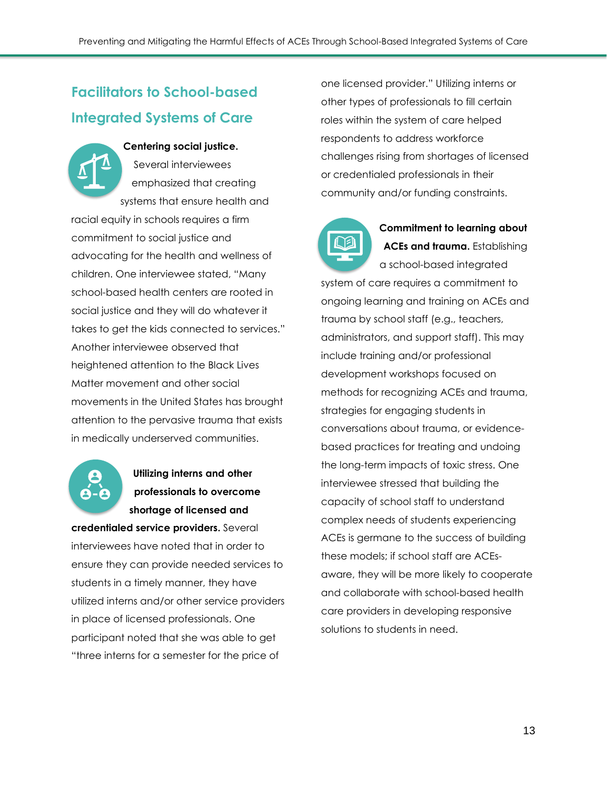## <span id="page-14-0"></span>**Facilitators to School-based Integrated Systems of Care**

**Centering social justice.** Several interviewees emphasized that creating systems that ensure health and racial equity in schools requires a firm commitment to social justice and advocating for the health and wellness of children. One interviewee stated, "Many school-based health centers are rooted in social justice and they will do whatever it takes to get the kids connected to services." Another interviewee observed that heightened attention to the Black Lives Matter movement and other social movements in the United States has brought attention to the pervasive trauma that exists in medically underserved communities.

## **Utilizing interns and other professionals to overcome shortage of licensed and**

**credentialed service providers.** Several interviewees have noted that in order to ensure they can provide needed services to students in a timely manner, they have utilized interns and/or other service providers in place of licensed professionals. One participant noted that she was able to get "three interns for a semester for the price of

one licensed provider." Utilizing interns or other types of professionals to fill certain roles within the system of care helped respondents to address workforce challenges rising from shortages of licensed or credentialed professionals in their community and/or funding constraints.



**Commitment to learning about ACEs and trauma.** Establishing a school-based integrated

system of care requires a commitment to ongoing learning and training on ACEs and trauma by school staff (e.g., teachers, administrators, and support staff). This may include training and/or professional development workshops focused on methods for recognizing ACEs and trauma, strategies for engaging students in conversations about trauma, or evidencebased practices for treating and undoing the long-term impacts of toxic stress. One interviewee stressed that building the capacity of school staff to understand complex needs of students experiencing ACEs is germane to the success of building these models; if school staff are ACEsaware, they will be more likely to cooperate and collaborate with school-based health care providers in developing responsive solutions to students in need.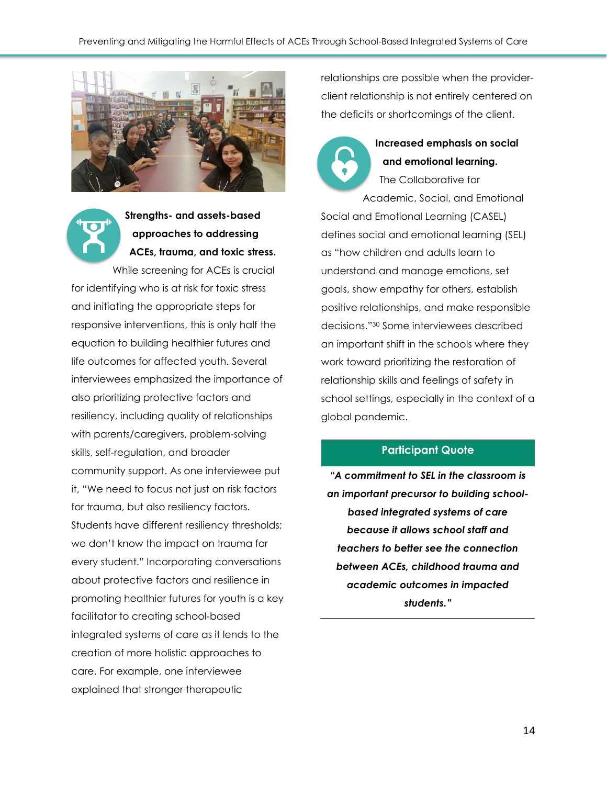

**Strengths- and assets-based approaches to addressing ACEs, trauma, and toxic stress.** While screening for ACEs is crucial

for identifying who is at risk for toxic stress and initiating the appropriate steps for responsive interventions, this is only half the equation to building healthier futures and life outcomes for affected youth. Several interviewees emphasized the importance of also prioritizing protective factors and resiliency, including quality of relationships with parents/caregivers, problem-solving skills, self-regulation, and broader community support. As one interviewee put it, "We need to focus not just on risk factors for trauma, but also resiliency factors. Students have different resiliency thresholds; we don't know the impact on trauma for every student." Incorporating conversations about protective factors and resilience in promoting healthier futures for youth is a key facilitator to creating school-based integrated systems of care as it lends to the creation of more holistic approaches to care. For example, one interviewee explained that stronger therapeutic

relationships are possible when the providerclient relationship is not entirely centered on the deficits or shortcomings of the client.



#### **Increased emphasis on social and emotional learning.**

The Collaborative for Academic, Social, and Emotional Social and Emotional Learning (CASEL) defines social and emotional learning (SEL) as "how children and adults learn to understand and manage emotions, set goals, show empathy for others, establish positive relationships, and make responsible decisions."[30](https://www.zotero.org/google-docs/?uO4kth) Some interviewees described an important shift in the schools where they work toward prioritizing the restoration of relationship skills and feelings of safety in school settings, especially in the context of a global pandemic.

#### **Participant Quote**

*"A commitment to SEL in the classroom is an important precursor to building schoolbased integrated systems of care because it allows school staff and teachers to better see the connection between ACEs, childhood trauma and academic outcomes in impacted students."*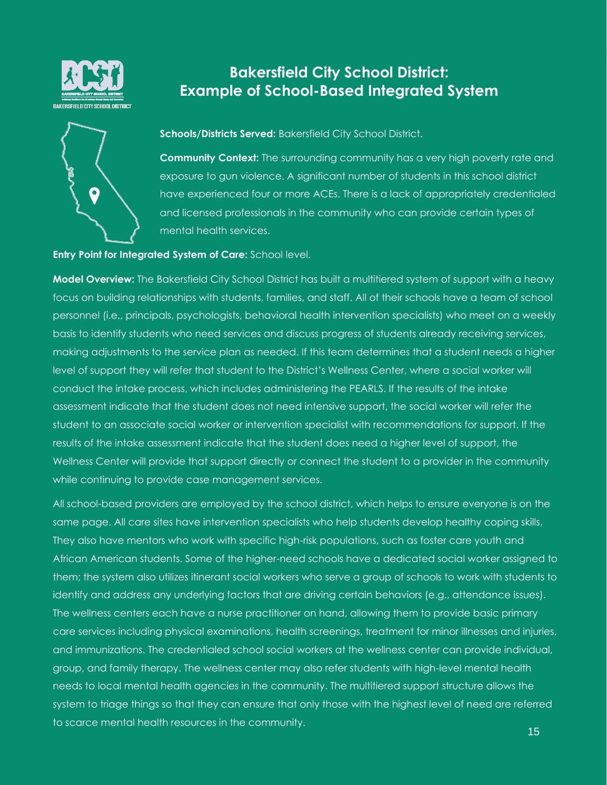

# $\boldsymbol{Q}$

## <span id="page-16-0"></span>**Bakersfield City School District: Example of School-Based Integrated System**

**Schools/Districts Served:** Bakersfield City School District.

**Community Context:** The surrounding community has a very high poverty rate and exposure to gun violence. A significant number of students in this school district have experienced four or more ACEs. There is a lack of appropriately credentialed and licensed professionals in the community who can provide certain types of mental health services.

#### **Entry Point for Integrated System of Care:** School level.

**Model Overview:** The Bakersfield City School District has built a multitiered system of support with a heavy focus on building relationships with students, families, and staff. All of their schools have a team of school personnel (i.e., principals, psychologists, behavioral health intervention specialists) who meet on a weekly basis to identify students who need services and discuss progress of students already receiving services, making adjustments to the service plan as needed. If this team determines that a student needs a higher level of support they will refer that student to the District's Wellness Center, where a social worker will conduct the intake process, which includes administering the PEARLS. If the results of the intake assessment indicate that the student does not need intensive support, the social worker will refer the student to an associate social worker or intervention specialist with recommendations for support. If the results of the intake assessment indicate that the student does need a higher level of support, the Wellness Center will provide that support directly or connect the student to a provider in the community while continuing to provide case management services.

All school-based providers are employed by the school district, which helps to ensure everyone is on the same page. All care sites have intervention specialists who help students develop healthy coping skills. They also have mentors who work with specific high-risk populations, such as foster care youth and African American students. Some of the higher-need schools have a dedicated social worker assigned to them; the system also utilizes itinerant social workers who serve a group of schools to work with students to identify and address any underlying factors that are driving certain behaviors (e.g., attendance issues). The wellness centers each have a nurse practitioner on hand, allowing them to provide basic primary care services including physical examinations, health screenings, treatment for minor illnesses and injuries, and immunizations. The credentialed school social workers at the wellness center can provide individual, group, and family therapy. The wellness center may also refer students with high-level mental health needs to local mental health agencies in the community. The multitiered support structure allows the system to triage things so that they can ensure that only those with the highest level of need are referred to scarce mental health resources in the community.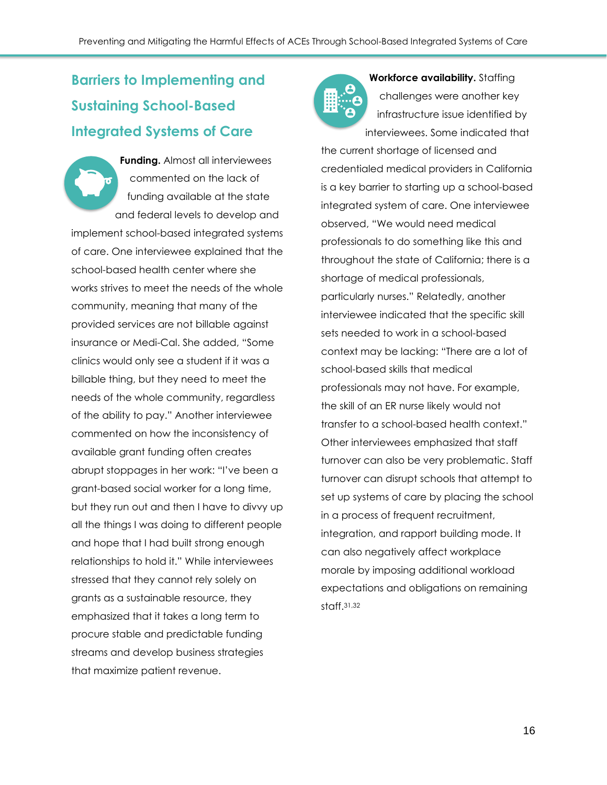# <span id="page-17-0"></span>**Barriers to Implementing and Sustaining School-Based Integrated Systems of Care**

**Funding.** Almost all interviewees commented on the lack of funding available at the state and federal levels to develop and implement school-based integrated systems of care. One interviewee explained that the school-based health center where she works strives to meet the needs of the whole community, meaning that many of the provided services are not billable against insurance or Medi-Cal. She added, "Some clinics would only see a student if it was a billable thing, but they need to meet the needs of the whole community, regardless of the ability to pay." Another interviewee commented on how the inconsistency of available grant funding often creates abrupt stoppages in her work: "I've been a grant-based social worker for a long time, but they run out and then I have to divvy up all the things I was doing to different people and hope that I had built strong enough relationships to hold it." While interviewees stressed that they cannot rely solely on grants as a sustainable resource, they emphasized that it takes a long term to procure stable and predictable funding streams and develop business strategies that maximize patient revenue.



**Workforce availability.** Staffing challenges were another key infrastructure issue identified by interviewees. Some indicated that

the current shortage of licensed and credentialed medical providers in California is a key barrier to starting up a school-based integrated system of care. One interviewee observed, "We would need medical professionals to do something like this and throughout the state of California; there is a shortage of medical professionals, particularly nurses." Relatedly, another interviewee indicated that the specific skill sets needed to work in a school-based context may be lacking: "There are a lot of school-based skills that medical professionals may not have. For example, the skill of an ER nurse likely would not transfer to a school-based health context." Other interviewees emphasized that staff turnover can also be very problematic. Staff turnover can disrupt schools that attempt to set up systems of care by placing the school in a process of frequent recruitment, integration, and rapport building mode. It can also negatively affect workplace morale by imposing additional workload expectations and obligations on remaining staff. [31,32](https://www.zotero.org/google-docs/?0M8axC)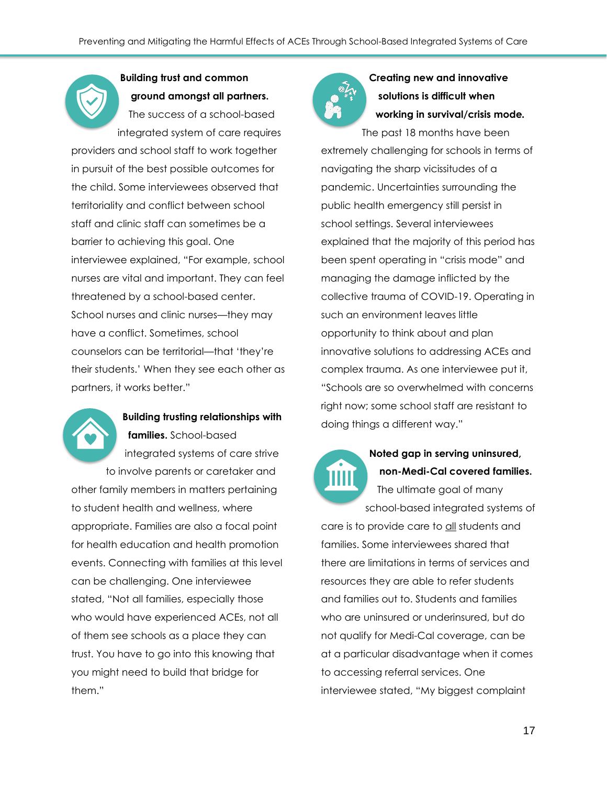#### **Building trust and common ground amongst all partners.**

The success of a school-based integrated system of care requires providers and school staff to work together in pursuit of the best possible outcomes for the child. Some interviewees observed that territoriality and conflict between school staff and clinic staff can sometimes be a barrier to achieving this goal. One interviewee explained, "For example, school nurses are vital and important. They can feel threatened by a school-based center. School nurses and clinic nurses—they may have a conflict. Sometimes, school counselors can be territorial—that 'they're their students.' When they see each other as partners, it works better."



#### **Building trusting relationships with families.** School-based

integrated systems of care strive to involve parents or caretaker and other family members in matters pertaining to student health and wellness, where appropriate. Families are also a focal point for health education and health promotion events. Connecting with families at this level can be challenging. One interviewee stated, "Not all families, especially those who would have experienced ACEs, not all of them see schools as a place they can trust. You have to go into this knowing that you might need to build that bridge for them."



## **Creating new and innovative solutions is difficult when working in survival/crisis mode***.*

The past 18 months have been extremely challenging for schools in terms of navigating the sharp vicissitudes of a pandemic. Uncertainties surrounding the public health emergency still persist in school settings. Several interviewees explained that the majority of this period has been spent operating in "crisis mode" and managing the damage inflicted by the collective trauma of COVID-19. Operating in such an environment leaves little opportunity to think about and plan innovative solutions to addressing ACEs and complex trauma. As one interviewee put it, "Schools are so overwhelmed with concerns right now; some school staff are resistant to doing things a different way."



## **Noted gap in serving uninsured, non-Medi-Cal covered families.**

The ultimate goal of many school-based integrated systems of

care is to provide care to all students and families. Some interviewees shared that there are limitations in terms of services and resources they are able to refer students and families out to. Students and families who are uninsured or underinsured, but do not qualify for Medi-Cal coverage, can be at a particular disadvantage when it comes to accessing referral services. One interviewee stated, "My biggest complaint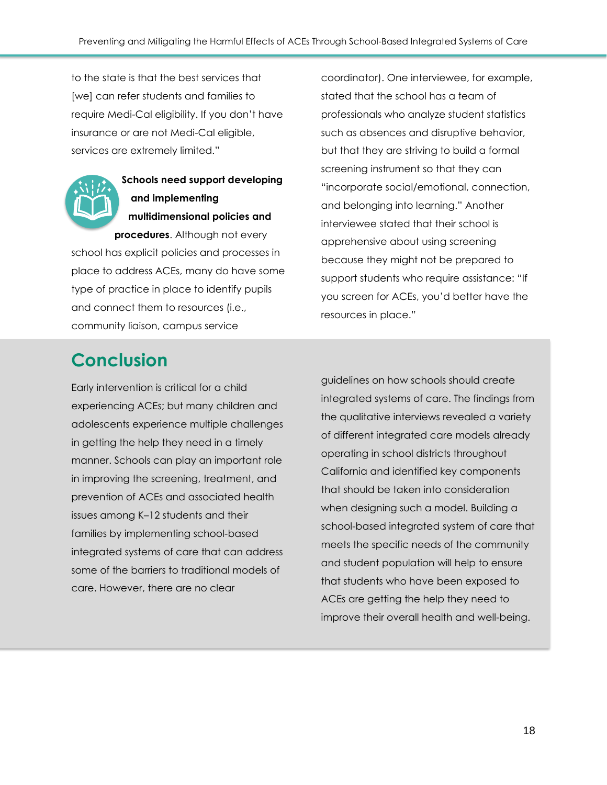to the state is that the best services that [we] can refer students and families to require Medi-Cal eligibility. If you don't have insurance or are not Medi-Cal eligible, services are extremely limited."



### **Schools need support developing and implementing multidimensional policies and procedures**. Although not every

school has explicit policies and processes in place to address ACEs, many do have some type of practice in place to identify pupils and connect them to resources (i.e., community liaison, campus service

coordinator). One interviewee, for example, stated that the school has a team of professionals who analyze student statistics such as absences and disruptive behavior, but that they are striving to build a formal screening instrument so that they can "incorporate social/emotional, connection, and belonging into learning." Another interviewee stated that their school is apprehensive about using screening because they might not be prepared to support students who require assistance: "If you screen for ACEs, you'd better have the resources in place."

# **Conclusion**

Early intervention is critical for a child experiencing ACEs; but many children and adolescents experience multiple challenges in getting the help they need in a timely manner. Schools can play an important role in improving the screening, treatment, and prevention of ACEs and associated health issues among K–12 students and their families by implementing school-based integrated systems of care that can address some of the barriers to traditional models of care. However, there are no clear

guidelines on how schools should create integrated systems of care. The findings from the qualitative interviews revealed a variety of different integrated care models already operating in school districts throughout California and identified key components that should be taken into consideration when designing such a model. Building a school-based integrated system of care that meets the specific needs of the community and student population will help to ensure that students who have been exposed to ACEs are getting the help they need to improve their overall health and well-being.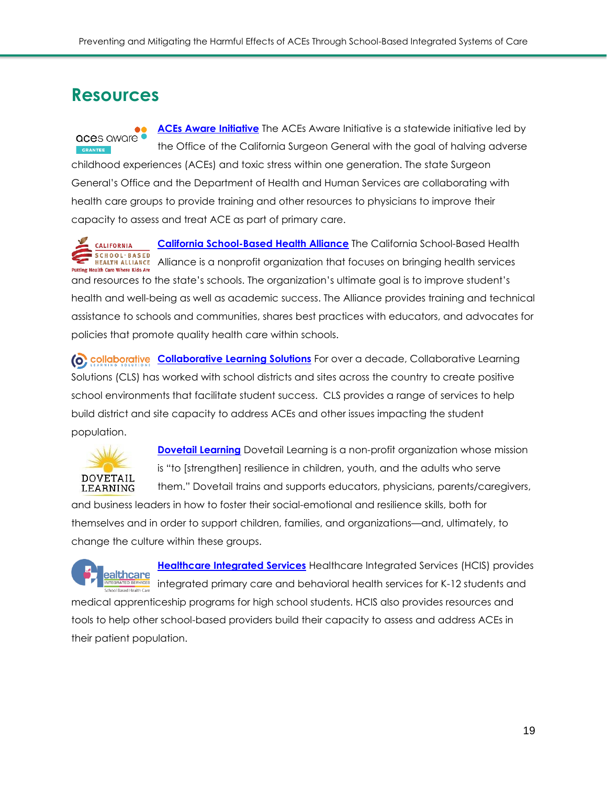## <span id="page-20-0"></span>**Resources**

**ACEs Aware [Initiative](https://www.acesaware.org/)** The ACEs Aware Initiative is a statewide initiative led by aces aware • the Office of the California Surgeon General with the goal of halving adverse childhood experiences (ACEs) and toxic stress within one generation. The state Surgeon General's Office and the Department of Health and Human Services are collaborating with health care groups to provide training and other resources to physicians to improve their capacity to assess and treat ACE as part of primary care.

**California [School-Based](https://www.schoolhealthcenters.org/) Health Alliance** The California School-Based Health **CALIFORNIA SCHOOL·BASED REALTH ALLIANCE** Alliance is a nonprofit organization that focuses on bringing health services **Putting Health Care Where Kids Are** and resources to the state's schools. The organization's ultimate goal is to improve student's health and well-being as well as academic success. The Alliance provides training and technical assistance to schools and communities, shares best practices with educators, and advocates for policies that promote quality health care within schools.

**[Collaborative](https://clsteam.net/) Learning Solutions** For over a decade, Collaborative Learning Solutions (CLS) has worked with school districts and sites across the country to create positive school environments that facilitate student success. CLS provides a range of services to help build district and site capacity to address ACEs and other issues impacting the student population.



**Dovetail [Learning](https://dovetaillearning.org/)** Dovetail Learning is a non-profit organization whose mission is "to [strengthen] resilience in children, youth, and the adults who serve them." Dovetail trains and supports educators, physicians, parents/caregivers,

and business leaders in how to foster their social-emotional and resilience skills, both for themselves and in order to support children, families, and organizations—and, ultimately, to change the culture within these groups.



**[Healthcare Integrated Services](https://healthcareintegratedservices.org/)** Healthcare Integrated Services (HCIS) provides integrated primary care and behavioral health services for K-12 students and

medical apprenticeship programs for high school students. HCIS also provides resources and tools to help other school-based providers build their capacity to assess and address ACEs in their patient population.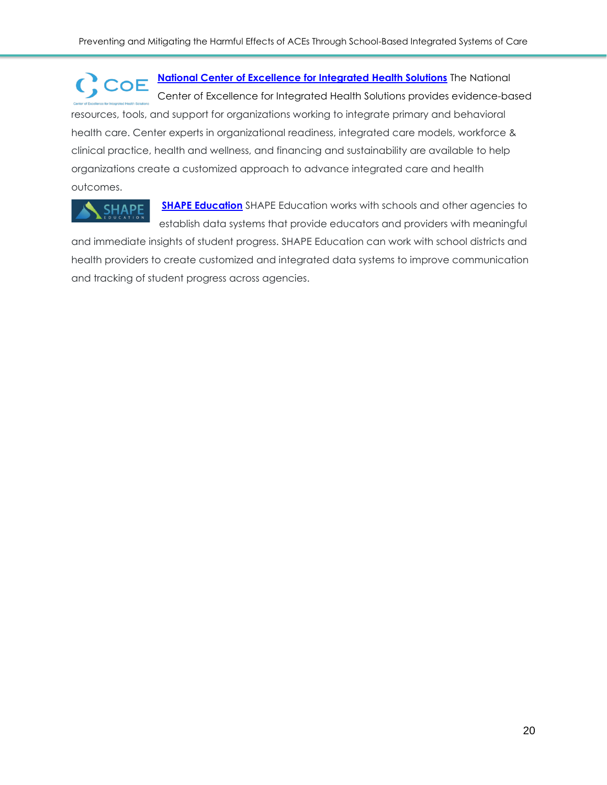**National Center of [Excellence](https://www.thenationalcouncil.org/integrated-health-coe/) for Integrated Health Solutions** The National  $C$ , COE Center of Excellence for Integrated Health Solutions provides evidence-based resources, tools, and support for organizations working to integrate primary and behavioral health care. Center experts in organizational readiness, integrated care models, workforce & clinical practice, health and wellness, and financing and sustainability are available to help organizations create a customized approach to advance integrated care and health outcomes.

**SHAPF** 

**SHAPE [Education](https://shapemydistrict.com/)** SHAPE Education works with schools and other agencies to establish data systems that provide educators and providers with meaningful

and immediate insights of student progress. SHAPE Education can work with school districts and health providers to create customized and integrated data systems to improve communication and tracking of student progress across agencies.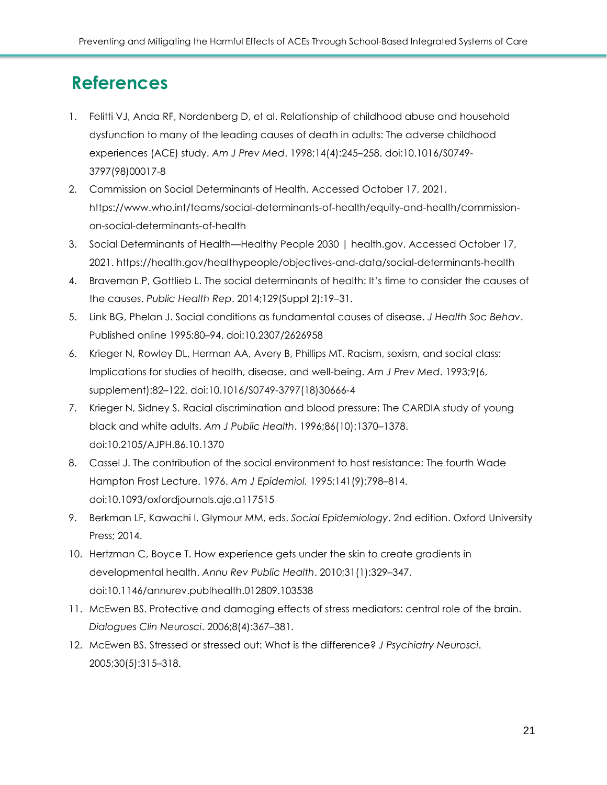## <span id="page-22-0"></span>**References**

- 1. Felitti VJ, Anda RF, Nordenberg D, et al. Relationship [of childhood abuse and household](https://www.zotero.org/google-docs/?o35qHu)  [dysfunction to many of the leading causes of death in adults:](https://www.zotero.org/google-docs/?o35qHu) The adverse childhood [experiences](https://www.zotero.org/google-docs/?o35qHu) (ACE) study. *Am J Prev [Med](https://www.zotero.org/google-docs/?o35qHu)*. 1998;14(4):245–258. [doi:10.1016/S0749-](https://www.zotero.org/google-docs/?o35qHu) [3797\(98\)00017-8](https://www.zotero.org/google-docs/?o35qHu)
- 2. Commission on Social [Determinants](https://www.zotero.org/google-docs/?o35qHu) of Health. Accessed October 17, 2021. [https://www.who.int/teams/social-determinants-of-health/equity-and-health/commission](https://www.zotero.org/google-docs/?o35qHu)[on-social-determinants-of-health](https://www.zotero.org/google-docs/?o35qHu)
- 3. Social [Determinants](https://www.zotero.org/google-docs/?o35qHu) of Health—Healthy People 2030 | health.gov. Accessed October 17, 2021. [https://health.gov/healthypeople/objectives-and-data/social-determinants-health](https://www.zotero.org/google-docs/?o35qHu)
- 4. Braveman P, Gottlieb L. The social determinants of health: It's [time to consider the causes of](https://www.zotero.org/google-docs/?o35qHu)  [the causes.](https://www.zotero.org/google-docs/?o35qHu) *Public [Health](https://www.zotero.org/google-docs/?o35qHu) Rep*. [2014;129\(Suppl](https://www.zotero.org/google-docs/?o35qHu) 2):19–31.
- 5. Link BG, Phelan J. Social [conditions as fundamental causes of disease.](https://www.zotero.org/google-docs/?o35qHu) *J [Health](https://www.zotero.org/google-docs/?o35qHu) Soc Behav*[.](https://www.zotero.org/google-docs/?o35qHu) Published online 1995:80–94. [doi:10.2307/2626958](https://www.zotero.org/google-docs/?o35qHu)
- 6. Krieger N, Rowley DL, Herman AA, Avery B, Phillips MT. Racism, [sexism, and social class:](https://www.zotero.org/google-docs/?o35qHu) Implications for [studies of health, disease, and well-being.](https://www.zotero.org/google-docs/?o35qHu) *Am J Prev [Med](https://www.zotero.org/google-docs/?o35qHu)*. [1993;9\(6,](https://www.zotero.org/google-docs/?o35qHu) supplement):82–122. [doi:10.1016/S0749-3797\(18\)30666-4](https://www.zotero.org/google-docs/?o35qHu)
- 7. Krieger N, Sidney S. Racial [discrimination](https://www.zotero.org/google-docs/?o35qHu) and blood pressure: The CARDIA study of young black and white [adults.](https://www.zotero.org/google-docs/?o35qHu) *Am J Public [Health](https://www.zotero.org/google-docs/?o35qHu)*. [1996;86\(10\):1370](https://www.zotero.org/google-docs/?o35qHu)–1378. [doi:10.2105/AJPH.86.10.1370](https://www.zotero.org/google-docs/?o35qHu)
- 8. Cassel J. [The contribution of the social environment to host resistance: The](https://www.zotero.org/google-docs/?o35qHu) fourth Wade Hampton Frost [Lecture. 1976.](https://www.zotero.org/google-docs/?o35qHu) *Am J Epidemiol.* 1995;141(9):798–814. doi:10.1093/oxfordjournals.aje.a117515
- 9. [Berkman](https://www.zotero.org/google-docs/?o35qHu) LF, Kawachi I, Glymour MM, eds. *Social [Epidemiology](https://www.zotero.org/google-docs/?o35qHu)*. [2nd edition.](https://www.zotero.org/google-docs/?o35qHu) Oxford University [Press;](https://www.zotero.org/google-docs/?o35qHu) 2014.
- 10. Hertzman C, Boyce T. How [experience gets under the skin to create gradients in](https://www.zotero.org/google-docs/?o35qHu)  [developmental health.](https://www.zotero.org/google-docs/?o35qHu) *Annu Rev Public [Health](https://www.zotero.org/google-docs/?o35qHu)*. [2010;31\(1\):329](https://www.zotero.org/google-docs/?o35qHu)–347. [doi:10.1146/annurev.publhealth.012809.103538](https://www.zotero.org/google-docs/?o35qHu)
- 11. McEwen BS. Protective and [damaging](https://www.zotero.org/google-docs/?o35qHu) effects of stress mediators: central role of the brain. *[Dialogues](https://www.zotero.org/google-docs/?o35qHu) Clin Neurosci*. [2006;8\(4\):367](https://www.zotero.org/google-docs/?o35qHu)–381.
- 12. McEwen BS. Stressed or stressed out: What is the [difference?](https://www.zotero.org/google-docs/?o35qHu) *J [Psychiatry](https://www.zotero.org/google-docs/?o35qHu) Neurosci*[.](https://www.zotero.org/google-docs/?o35qHu) [2005;30\(5\):315](https://www.zotero.org/google-docs/?o35qHu)–318.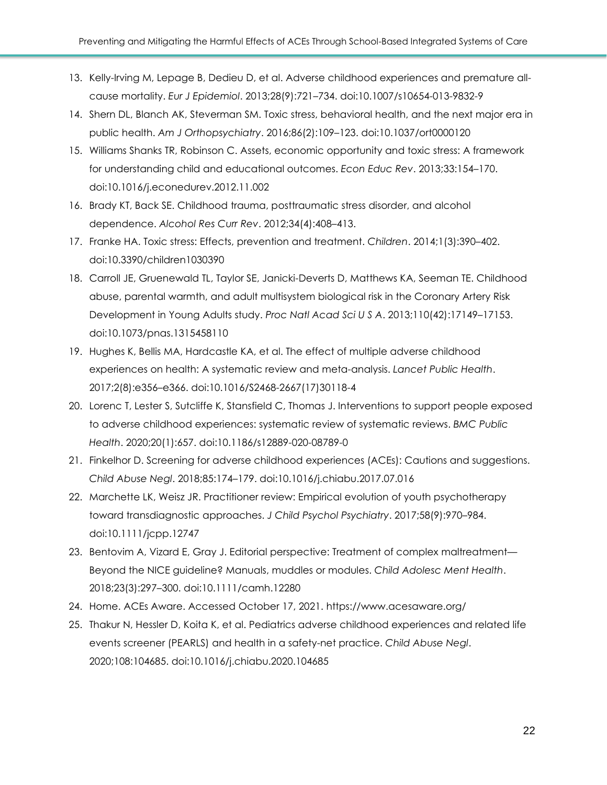- 13. Kelly-Irving M, Lepage B, Dedieu D, et al. Adverse childhood [experiences](https://www.zotero.org/google-docs/?o35qHu) and premature allcause [mortality.](https://www.zotero.org/google-docs/?o35qHu) *Eur J [Epidemiol](https://www.zotero.org/google-docs/?o35qHu)*. 2013;28(9):721–734. [doi:10.1007/s10654-013-9832-9](https://www.zotero.org/google-docs/?o35qHu)
- 14. Shern DL, Blanch AK, Steverman SM. Toxic stress, [behavioral](https://www.zotero.org/google-docs/?o35qHu) health, and the next major era in public [health.](https://www.zotero.org/google-docs/?o35qHu) *Am J [Orthopsychiatry](https://www.zotero.org/google-docs/?o35qHu)*. 2016;86(2):109–123. [doi:10.1037/ort0000120](https://www.zotero.org/google-docs/?o35qHu)
- 15. Williams Shanks TR, Robinson C. Assets, economic [opportunity](https://www.zotero.org/google-docs/?o35qHu) and toxic stress: A framework for [understanding](https://www.zotero.org/google-docs/?o35qHu) child and educational outcomes. *Econ [Educ](https://www.zotero.org/google-docs/?o35qHu) Rev*. [2013;33:154](https://www.zotero.org/google-docs/?o35qHu)–170. [doi:10.1016/j.econedurev.2012.11.002](https://www.zotero.org/google-docs/?o35qHu)
- 16. Brady KT, Back SE. Childhood [trauma, posttraumatic stress disorder, and alcohol](https://www.zotero.org/google-docs/?o35qHu)  [dependence.](https://www.zotero.org/google-docs/?o35qHu) *[Alcohol](https://www.zotero.org/google-docs/?o35qHu) Res Curr Rev*. [2012;34\(4\):408](https://www.zotero.org/google-docs/?o35qHu)–413.
- 17. Franke HA. Toxic stress: Effects, [prevention](https://www.zotero.org/google-docs/?o35qHu) and treatment. *[Children](https://www.zotero.org/google-docs/?o35qHu)*. [2014;1\(3\):390](https://www.zotero.org/google-docs/?o35qHu)–402. [doi:10.3390/children1030390](https://www.zotero.org/google-docs/?o35qHu)
- 18. Carroll JE, Gruenewald TL, Taylor SE, [Janicki-Deverts](https://www.zotero.org/google-docs/?o35qHu) D, Matthews KA, Seeman TE. Childhood abuse, parental warmth, and adult [multisystem](https://www.zotero.org/google-docs/?o35qHu) biological risk in the Coronary Artery Risk [Development](https://www.zotero.org/google-docs/?o35qHu) in Young Adults study. *Proc Natl [Acad](https://www.zotero.org/google-docs/?o35qHu) Sci U S A*. [2013;110\(42\):17149](https://www.zotero.org/google-docs/?o35qHu)–17153. [doi:10.1073/pnas.1315458110](https://www.zotero.org/google-docs/?o35qHu)
- 19. Hughes K, Bellis MA, [Hardcastle](https://www.zotero.org/google-docs/?o35qHu) KA, et al. The effect of multiple adverse childhood experiences on health: A systematic review and [meta-analysis.](https://www.zotero.org/google-docs/?o35qHu) *[Lancet](https://www.zotero.org/google-docs/?o35qHu) Public Health*[.](https://www.zotero.org/google-docs/?o35qHu) 2017;2(8):e356–e366. [doi:10.1016/S2468-2667\(17\)30118-4](https://www.zotero.org/google-docs/?o35qHu)
- 20. Lorenc T, Lester S, Sutcliffe K, Stansfield C, Thomas J. [Interventions](https://www.zotero.org/google-docs/?o35qHu) to support people exposed to adverse childhood [experiences:](https://www.zotero.org/google-docs/?o35qHu) systematic review of systematic reviews. *BMC [Public](https://www.zotero.org/google-docs/?o35qHu) [Health](https://www.zotero.org/google-docs/?o35qHu)*. 2020;20(1):657. [doi:10.1186/s12889-020-08789-0](https://www.zotero.org/google-docs/?o35qHu)
- 21. Finkelhor D. Screening for adverse childhood [experiences](https://www.zotero.org/google-docs/?o35qHu) (ACEs): Cautions and suggestions. *Child [Abuse](https://www.zotero.org/google-docs/?o35qHu) Negl*. 2018;85:174–179. [doi:10.1016/j.chiabu.2017.07.016](https://www.zotero.org/google-docs/?o35qHu)
- 22. Marchette LK, Weisz JR. Practitioner review: Empirical evolution of youth [psychotherapy](https://www.zotero.org/google-docs/?o35qHu) toward [transdiagnostic](https://www.zotero.org/google-docs/?o35qHu) approaches. *J Child Psychol [Psychiatry](https://www.zotero.org/google-docs/?o35qHu)*. [2017;58\(9\):970](https://www.zotero.org/google-docs/?o35qHu)–984. [doi:10.1111/jcpp.12747](https://www.zotero.org/google-docs/?o35qHu)
- 23. Bentovim A, Vizard E, Gray J. Editorial perspective: Treatment of complex [maltreatment](https://www.zotero.org/google-docs/?o35qHu) Beyond the NICE [guideline?](https://www.zotero.org/google-docs/?o35qHu) Manuals, muddles or modules. *Child [Adolesc](https://www.zotero.org/google-docs/?o35qHu) Ment Health*[.](https://www.zotero.org/google-docs/?o35qHu) 2018;23(3):297–300. [doi:10.1111/camh.12280](https://www.zotero.org/google-docs/?o35qHu)
- 24. Home. ACEs Aware. Accessed October 17, 2021. [https://www.acesaware.org/](https://www.zotero.org/google-docs/?o35qHu)
- 25. Thakur N, Hessler D, Koita K, et al. Pediatrics adverse childhood [experiences](https://www.zotero.org/google-docs/?o35qHu) and related life events screener (PEARLS) and health in a [safety-net](https://www.zotero.org/google-docs/?o35qHu) practice. *Child [Abuse](https://www.zotero.org/google-docs/?o35qHu) Negl*[.](https://www.zotero.org/google-docs/?o35qHu) 2020;108:104685. [doi:10.1016/j.chiabu.2020.104685](https://www.zotero.org/google-docs/?o35qHu)